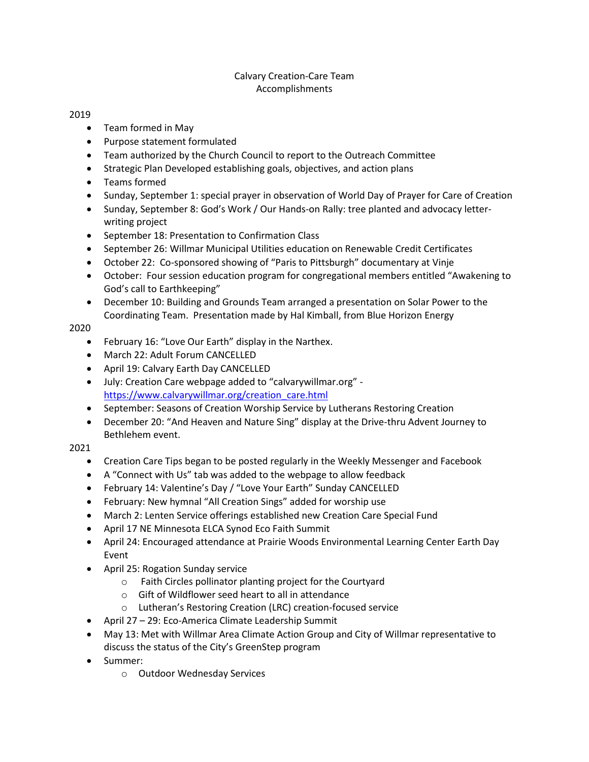## Calvary Creation-Care Team Accomplishments

## 2019

- Team formed in May
- Purpose statement formulated
- Team authorized by the Church Council to report to the Outreach Committee
- Strategic Plan Developed establishing goals, objectives, and action plans
- Teams formed
- Sunday, September 1: special prayer in observation of World Day of Prayer for Care of Creation
- Sunday, September 8: God's Work / Our Hands-on Rally: tree planted and advocacy letterwriting project
- September 18: Presentation to Confirmation Class
- September 26: Willmar Municipal Utilities education on Renewable Credit Certificates
- October 22: Co-sponsored showing of "Paris to Pittsburgh" documentary at Vinje
- October: Four session education program for congregational members entitled "Awakening to God's call to Earthkeeping"
- December 10: Building and Grounds Team arranged a presentation on Solar Power to the Coordinating Team. Presentation made by Hal Kimball, from Blue Horizon Energy

## 2020

- February 16: "Love Our Earth" display in the Narthex.
- March 22: Adult Forum CANCELLED
- April 19: Calvary Earth Day CANCELLED
- July: Creation Care webpage added to "calvarywillmar.org" [https://www.calvarywillmar.org/creation\\_care.html](https://www.calvarywillmar.org/creation_care.html)
- September: Seasons of Creation Worship Service by Lutherans Restoring Creation
- December 20: "And Heaven and Nature Sing" display at the Drive-thru Advent Journey to Bethlehem event.

## 2021

- Creation Care Tips began to be posted regularly in the Weekly Messenger and Facebook
- A "Connect with Us" tab was added to the webpage to allow feedback
- February 14: Valentine's Day / "Love Your Earth" Sunday CANCELLED
- February: New hymnal "All Creation Sings" added for worship use
- March 2: Lenten Service offerings established new Creation Care Special Fund
- April 17 NE Minnesota ELCA Synod Eco Faith Summit
- April 24: Encouraged attendance at Prairie Woods Environmental Learning Center Earth Day Event
- April 25: Rogation Sunday service
	- o Faith Circles pollinator planting project for the Courtyard
	- o Gift of Wildflower seed heart to all in attendance
	- o Lutheran's Restoring Creation (LRC) creation-focused service
- April 27 29: Eco-America Climate Leadership Summit
- May 13: Met with Willmar Area Climate Action Group and City of Willmar representative to discuss the status of the City's GreenStep program
- Summer:
	- o Outdoor Wednesday Services